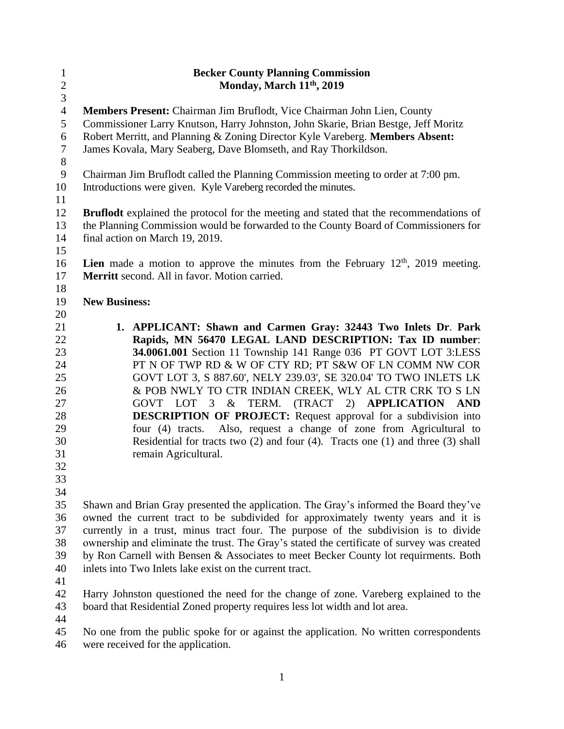| $\mathbf{1}$   | <b>Becker County Planning Commission</b>                                                      |  |  |
|----------------|-----------------------------------------------------------------------------------------------|--|--|
| $\overline{2}$ | Monday, March 11 <sup>th</sup> , 2019                                                         |  |  |
| $\overline{3}$ |                                                                                               |  |  |
| $\overline{4}$ | Members Present: Chairman Jim Bruflodt, Vice Chairman John Lien, County                       |  |  |
| 5              | Commissioner Larry Knutson, Harry Johnston, John Skarie, Brian Bestge, Jeff Moritz            |  |  |
| 6              | Robert Merritt, and Planning & Zoning Director Kyle Vareberg. Members Absent:                 |  |  |
| $\tau$         | James Kovala, Mary Seaberg, Dave Blomseth, and Ray Thorkildson.                               |  |  |
| 8              |                                                                                               |  |  |
| 9              | Chairman Jim Bruflodt called the Planning Commission meeting to order at 7:00 pm.             |  |  |
| 10             | Introductions were given. Kyle Vareberg recorded the minutes.                                 |  |  |
| 11             |                                                                                               |  |  |
| 12             | <b>Bruflodt</b> explained the protocol for the meeting and stated that the recommendations of |  |  |
| 13             | the Planning Commission would be forwarded to the County Board of Commissioners for           |  |  |
| 14             | final action on March 19, 2019.                                                               |  |  |
| 15             |                                                                                               |  |  |
| 16             | <b>Lien</b> made a motion to approve the minutes from the February $12th$ , 2019 meeting.     |  |  |
| 17             | Merritt second. All in favor. Motion carried.                                                 |  |  |
| 18             |                                                                                               |  |  |
| 19             | <b>New Business:</b>                                                                          |  |  |
| 20             |                                                                                               |  |  |
| 21             | 1. APPLICANT: Shawn and Carmen Gray: 32443 Two Inlets Dr. Park                                |  |  |
| 22             | Rapids, MN 56470 LEGAL LAND DESCRIPTION: Tax ID number:                                       |  |  |
| 23             | 34.0061.001 Section 11 Township 141 Range 036 PT GOVT LOT 3:LESS                              |  |  |
| 24             | PT N OF TWP RD & W OF CTY RD; PT S&W OF LN COMM NW COR                                        |  |  |
| 25             | GOVT LOT 3, S 887.60', NELY 239.03', SE 320.04' TO TWO INLETS LK                              |  |  |
| 26             | & POB NWLY TO CTR INDIAN CREEK, WLY AL CTR CRK TO S LN                                        |  |  |
| 27             | TERM. (TRACT 2) APPLICATION<br>$\&$<br>GOVT LOT 3<br>AND                                      |  |  |
| 28             | <b>DESCRIPTION OF PROJECT:</b> Request approval for a subdivision into                        |  |  |
| 29             | four (4) tracts. Also, request a change of zone from Agricultural to                          |  |  |
| 30             | Residential for tracts two $(2)$ and four $(4)$ . Tracts one $(1)$ and three $(3)$ shall      |  |  |
| 31             | remain Agricultural.                                                                          |  |  |
| 32             |                                                                                               |  |  |
| 33             |                                                                                               |  |  |
| 34             |                                                                                               |  |  |
| 35             | Shawn and Brian Gray presented the application. The Gray's informed the Board they've         |  |  |
| 36             | owned the current tract to be subdivided for approximately twenty years and it is             |  |  |
| 37             | currently in a trust, minus tract four. The purpose of the subdivision is to divide           |  |  |
| 38             | ownership and eliminate the trust. The Gray's stated the certificate of survey was created    |  |  |
| 39             | by Ron Carnell with Bensen & Associates to meet Becker County lot requirments. Both           |  |  |
| 40             | inlets into Two Inlets lake exist on the current tract.                                       |  |  |
| 41             |                                                                                               |  |  |
| 42             | Harry Johnston questioned the need for the change of zone. Vareberg explained to the          |  |  |
| 43             | board that Residential Zoned property requires less lot width and lot area.                   |  |  |
| $\overline{A}$ |                                                                                               |  |  |

44<br>45 No one from the public spoke for or against the application. No written correspondents were received for the application.